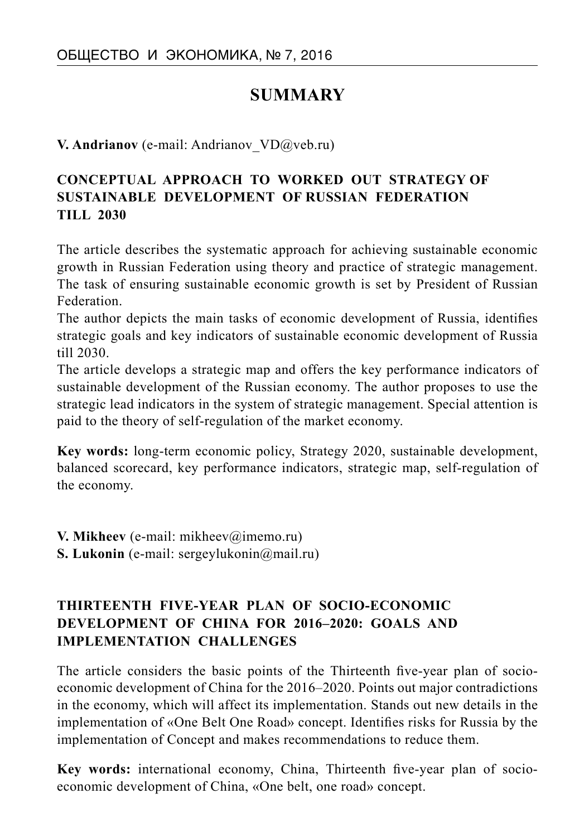# **SUMMARY**

**V. Andrianov** (e-mail: Andrianov VD@veb.ru)

## **CONCEPTUAL APPROACH TO WORKED OUT STRATEGY OF SUSTAINABLE DEVELOPMENT OF RUSSIAN FEDERATION TILL 2030**

The article describes the systematic approach for achieving sustainable economic growth in Russian Federation using theory and practice of strategic management. The task of ensuring sustainable economic growth is set by President of Russian Federation.

The author depicts the main tasks of economic development of Russia, identifies strategic goals and key indicators of sustainable economic development of Russia till 2030.

The article develops a strategic map and offers the key performance indicators of sustainable development of the Russian economy. The author proposes to use the strategic lead indicators in the system of strategic management. Special attention is paid to the theory of self-regulation of the market economy.

**Key words:** long-term economic policy, Strategy 2020, sustainable development, balanced scorecard, key performance indicators, strategic map, self-regulation of the economy.

**V. Mikheev** (e-mail: mikheev@imemo.ru) **S. Lukonin** (e-mail: sergeylukonin@mail.ru)

## **THIRTEENTH FIVE-YEAR PLAN OF SOCIO-ECONOMIC DEVELOPMENT OF CHINA FOR 2016–2020: GOALS AND IMPLEMENTATION CHALLENGES**

The article considers the basic points of the Thirteenth five-year plan of socioeconomic development of China for the 2016–2020. Points out major contradictions in the economy, which will affect its implementation. Stands out new details in the implementation of «One Belt One Road» concept. Identifies risks for Russia by the implementation of Concept and makes recommendations to reduce them.

**Key words:** international economy, China, Thirteenth five-year plan of socioeconomic development of China, «One belt, one road» concept.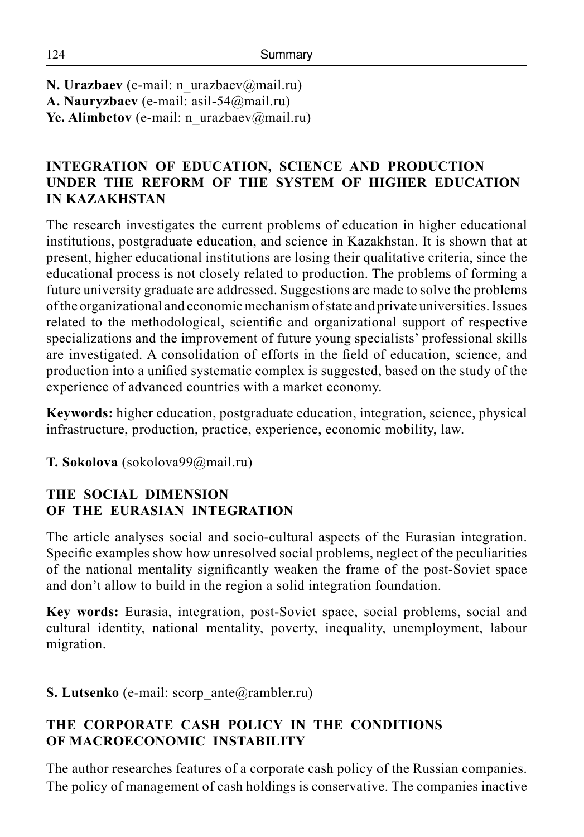**N. Urazbaev** (e-mail: n\_urazbaev@mail.ru) **A. Nauryzbaev** (e-mail: asil-54@mail.ru) Ye. Alimbetov (e-mail: n\_urazbaev@mail.ru)

## **INTEGRATION OF EDUCATION, SCIENCE AND PRODUCTION UNDER THE REFORM OF THE SYSTEM OF HIGHER EDUCATION IN KAZAKHSTAN**

The research investigates the current problems of education in higher educational institutions, postgraduate education, and science in Kazakhstan. It is shown that at present, higher educational institutions are losing their qualitative criteria, since the educational process is not closely related to production. The problems of forming a future university graduate are addressed. Suggestions are made to solve the problems of the organizational and economic mechanism of state and private universities. Issues related to the methodological, scientific and organizational support of respective specializations and the improvement of future young specialists' professional skills are investigated. A consolidation of efforts in the field of education, science, and production into a unified systematic complex is suggested, based on the study of the experience of advanced countries with a market economy.

**Keywords:** higher education, postgraduate education, integration, science, physical infrastructure, production, practice, experience, economic mobility, law.

**T. Sokolova** (sokolova99@mail.ru)

## **THE SOCIAL DIMENSION OF THE EURASIAN INTEGRATION**

The article analyses social and socio-cultural aspects of the Eurasian integration. Specific examples show how unresolved social problems, neglect of the peculiarities of the national mentality significantly weaken the frame of the post-Soviet space and don't allow to build in the region a solid integration foundation.

**Key words:** Eurasia, integration, post-Soviet space, social problems, social and cultural identity, national mentality, poverty, inequality, unemployment, labour migration.

**S. Lutsenko** (e-mail: scorp\_ante@rambler.ru)

## **THE CORPORATE CASH POLICY IN THE CONDITIONS OF MACROECONOMIC INSTABILITY**

The author researches features of a corporate cash policy of the Russian companies. The policy of management of cash holdings is conservative. The companies inactive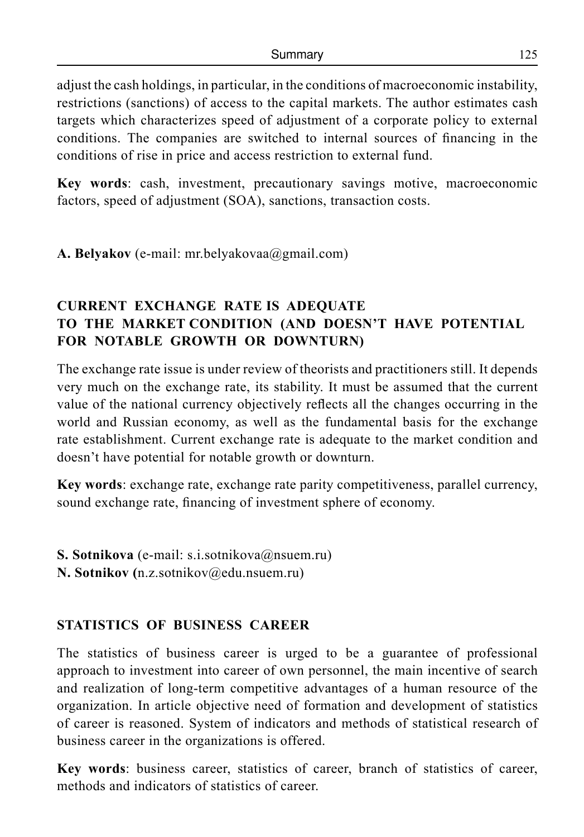adjust the cash holdings, in particular, in the conditions of macroeconomic instability, restrictions (sanctions) of access to the capital markets. The author estimates cash targets which characterizes speed of adjustment of a corporate policy to external conditions. The companies are switched to internal sources of financing in the conditions of rise in price and access restriction to external fund.

**Key words**: cash, investment, precautionary savings motive, macroeconomic factors, speed of adjustment (SOA), sanctions, transaction costs.

**A. Belyakov** (e-mail: mr.belyakovaa@gmail.com)

## **CURRENT EXCHANGE RATE IS ADEQUATE TO THE MARKET CONDITION (AND DOESN'T HAVE POTENTIAL FOR NOTABLE GROWTH OR DOWNTURN)**

The exchange rate issue is under review of theorists and practitioners still. It depends very much on the exchange rate, its stability. It must be assumed that the current value of the national currency objectively reflects all the changes occurring in the world and Russian economy, as well as the fundamental basis for the exchange rate establishment. Current exchange rate is adequate to the market condition and doesn't have potential for notable growth or downturn.

**Key words**: exchange rate, exchange rate parity competitiveness, parallel currency, sound exchange rate, financing of investment sphere of economy.

- **S. Sotnikova** (e-mail: s.i.sotnikova@nsuem.ru)
- **N. Sotnikov (**n.z.sotnikov@edu.nsuem.ru)

#### **STATISTICS OF BUSINESS CAREER**

The statistics of business career is urged to be a guarantee of professional approach to investment into career of own personnel, the main incentive of search and realization of long-term competitive advantages of a human resource of the organization. In article objective need of formation and development of statistics of career is reasoned. System of indicators and methods of statistical research of business career in the organizations is offered.

**Key words**: business career, statistics of career, branch of statistics of career, methods and indicators of statistics of career.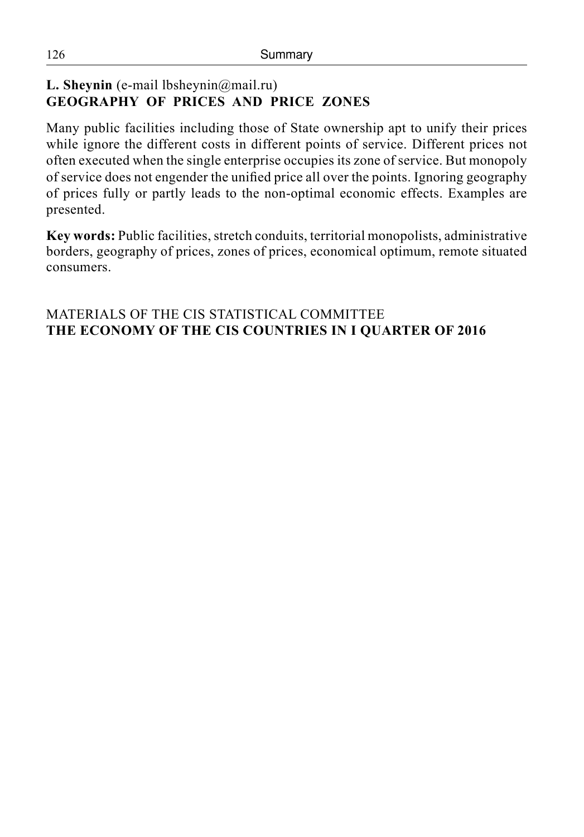## **L. Sheynin** (е-mail lbsheynin@mail.ru) **GEOGRAPHY OF PRICES AND PRICE ZONES**

Many public facilities including those of State ownership apt to unify their prices while ignore the different costs in different points of service. Different prices not often executed when the single enterprise occupies its zone of service. But monopoly of service does not engender the unified price all over the points. Ignoring geography of prices fully or partly leads to the non-optimal economic effects. Examples are presented.

**Key words:** Public facilities, stretch conduits, territorial monopolists, administrative borders, geography of prices, zones of prices, economical optimum, remote situated consumers.

#### MATERIALS OF THE CIS STATISTICAL COMMITTEE **THE ECONOMY OF THE CIS COUNTRIES IN I QUARTER OF 2016**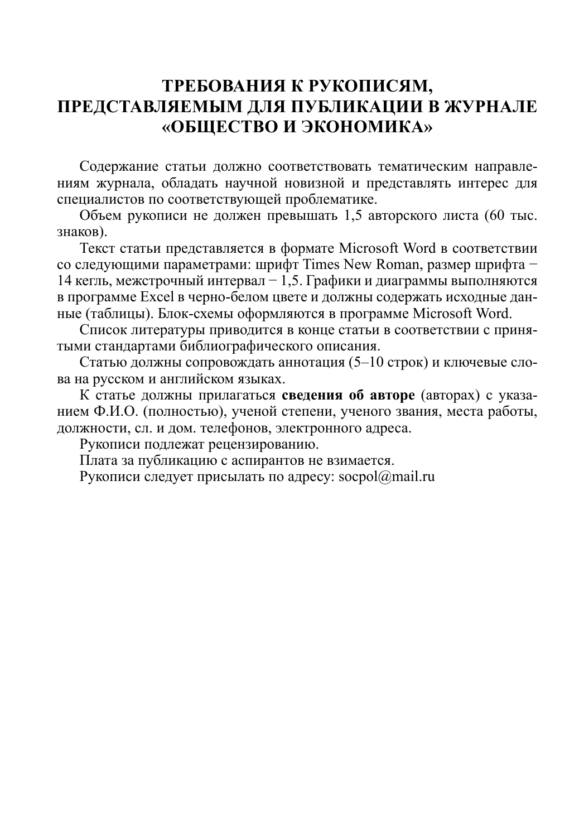# **Требования к рукописям, представляемым для публикации в журнале «Общество и экономика»**

Содержание статьи должно соответствовать тематическим направлениям журнала, обладать научной новизной и представлять интерес для специалистов по соответствующей проблематике.

Объем рукописи не должен превышать 1,5 авторского листа (60 тыс. знаков).

Текст статьи представляется в формате Microsoft Word в соответствии со следующими параметрами: шрифт Times New Roman, размер шрифта − 14 кегль, межстрочный интервал − 1,5. Графики и диаграммы выполняются в программе Excel в черно-белом цвете и должны содержать исходные данные (таблицы). Блок-схемы оформляются в программе Microsoft Word.

Список литературы приводится в конце статьи в соответствии с принятыми стандартами библиографического описания.

Статью должны сопровождать аннотация (5–10 строк) и ключевые слова на русском и английском языках.

К статье должны прилагаться **сведения об авторе** (авторах) с указанием Ф.И.О. (полностью), ученой степени, ученого звания, места работы, должности, сл. и дом. телефонов, электронного адреса.

Рукописи подлежат рецензированию.

Плата за публикацию с аспирантов не взимается.

Рукописи следует присылать по адресу: socpol $@$ mail.ru